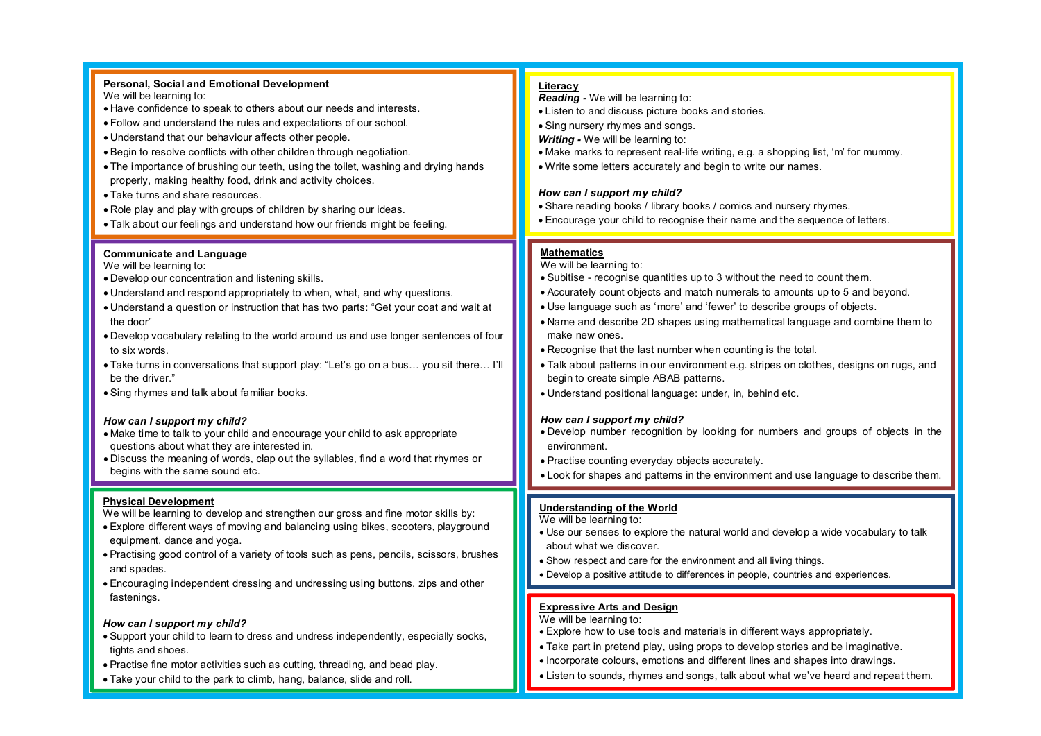#### **Personal, Social and Emotional Development**  We will be learning to: · Have confidence to speak to others about our needs and interests. · Follow and understand the rules and expectations of our school. · Understand that our behaviour affects other people. · Begin to resolve conflicts with other children through negotiation. · The importance of brushing our teeth, using the toilet, washing and drying hands properly, making healthy food, drink and activity choices. · Take turns and share resources. · Role play and play with groups of children by sharing our ideas. · Talk about our feelings and understand how our friends might be feeling. **Communicate and Language** We will be learning to: · Develop our concentration and listening skills. · Understand and respond appropriately to when, what, and why questions. · Understand a question or instruction that has two parts: "Get your coat and wait at the door" · Develop vocabulary relating to the world around us and use longer sentences of four to six words. · Take turns in conversations that support play: "Let's go on a bus… you sit there… I'll be the driver." · Sing rhymes and talk about familiar books. *How can I support my child?* · Make time to talk to your child and encourage your child to ask appropriate questions about what they are interested in. · Discuss the meaning of words, clap out the syllables, find a word that rhymes or begins with the same sound etc. **Physical Development** We will be learning to develop and strengthen our gross and fine motor skills by: · Explore different ways of moving and balancing using bikes, scooters, playground equipment, dance and yoga. · Practising good control of a variety of tools such as pens, pencils, scissors, brushes and spades. · Encouraging independent dressing and undressing using buttons, zips and other **Literacy** *Reading -* We will be learning to: · Listen to and discuss picture books and stories. • Sing nursery rhymes and songs. *Writing -* We will be learning to: · Make marks to represent real-life writing, e.g. a shopping list, 'm' for mummy. · Write some letters accurately and begin to write our names. *How can I support my child?* · Share reading books / library books / comics and nursery rhymes. · Encourage your child to recognise their name and the sequence of letters. **Mathematics** We will be learning to: · Subitise - recognise quantities up to 3 without the need to count them. · Accurately count objects and match numerals to amounts up to 5 and beyond. · Use language such as 'more' and 'fewer' to describe groups of objects. · Name and describe 2D shapes using mathematical language and combine them to make new ones. · Recognise that the last number when counting is the total. · Talk about patterns in our environment e.g. stripes on clothes, designs on rugs, and begin to create simple ABAB patterns. · Understand positional language: under, in, behind etc. *How can I support my child?* · Develop number recognition by looking for numbers and groups of objects in the environment. · Practise counting everyday objects accurately. · Look for shapes and patterns in the environment and use language to describe them. **Understanding of the World** We will be learning to: · Use our senses to explore the natural world and develop a wide vocabulary to talk about what we discover. · Show respect and care for the environment and all living things. · Develop a positive attitude to differences in people, countries and experiences.

fastenings.

tights and shoes.

*How can I support my child?*

· Support your child to learn to dress and undress independently, especially socks,

· Practise fine motor activities such as cutting, threading, and bead play. · Take your child to the park to climb, hang, balance, slide and roll.

#### **Expressive Arts and Design**

We will be learning to:

- · Explore how to use tools and materials in different ways appropriately.
- · Take part in pretend play, using props to develop stories and be imaginative.
- · Incorporate colours, emotions and different lines and shapes into drawings.
- · Listen to sounds, rhymes and songs, talk about what we've heard and repeat them.